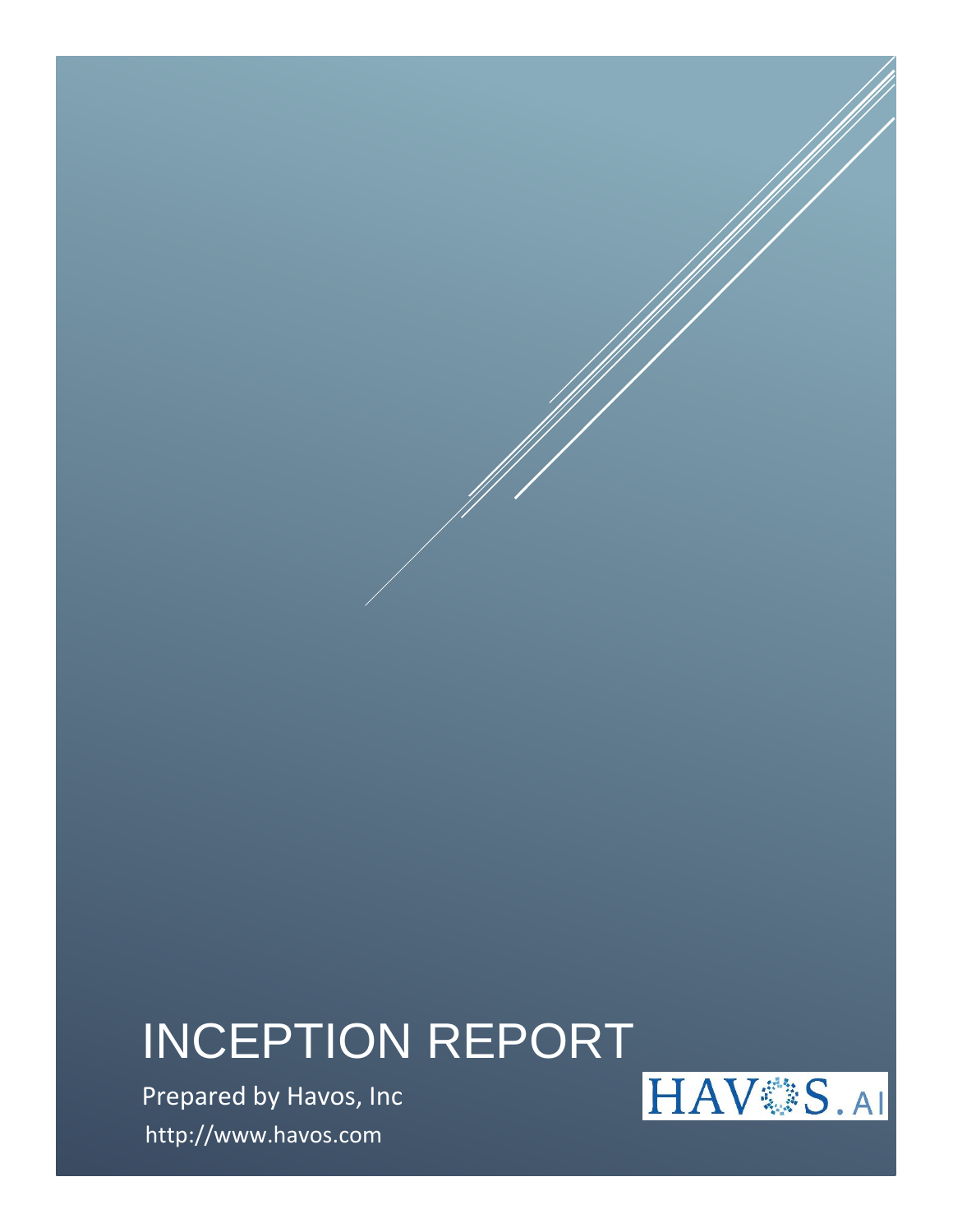# INCEPTION REPORT

Prepared by Havos, Inc http://www.havos.com

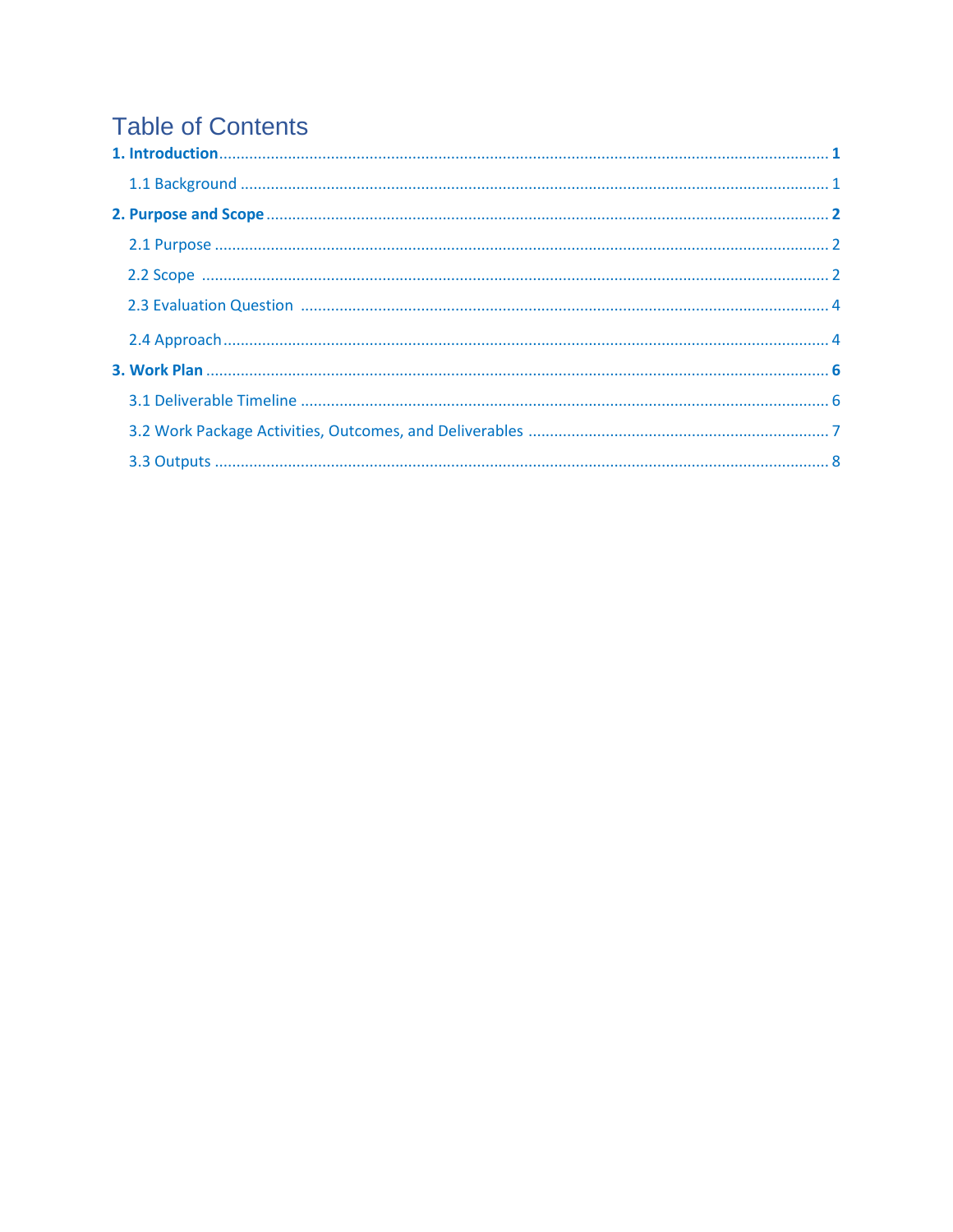# **Table of Contents**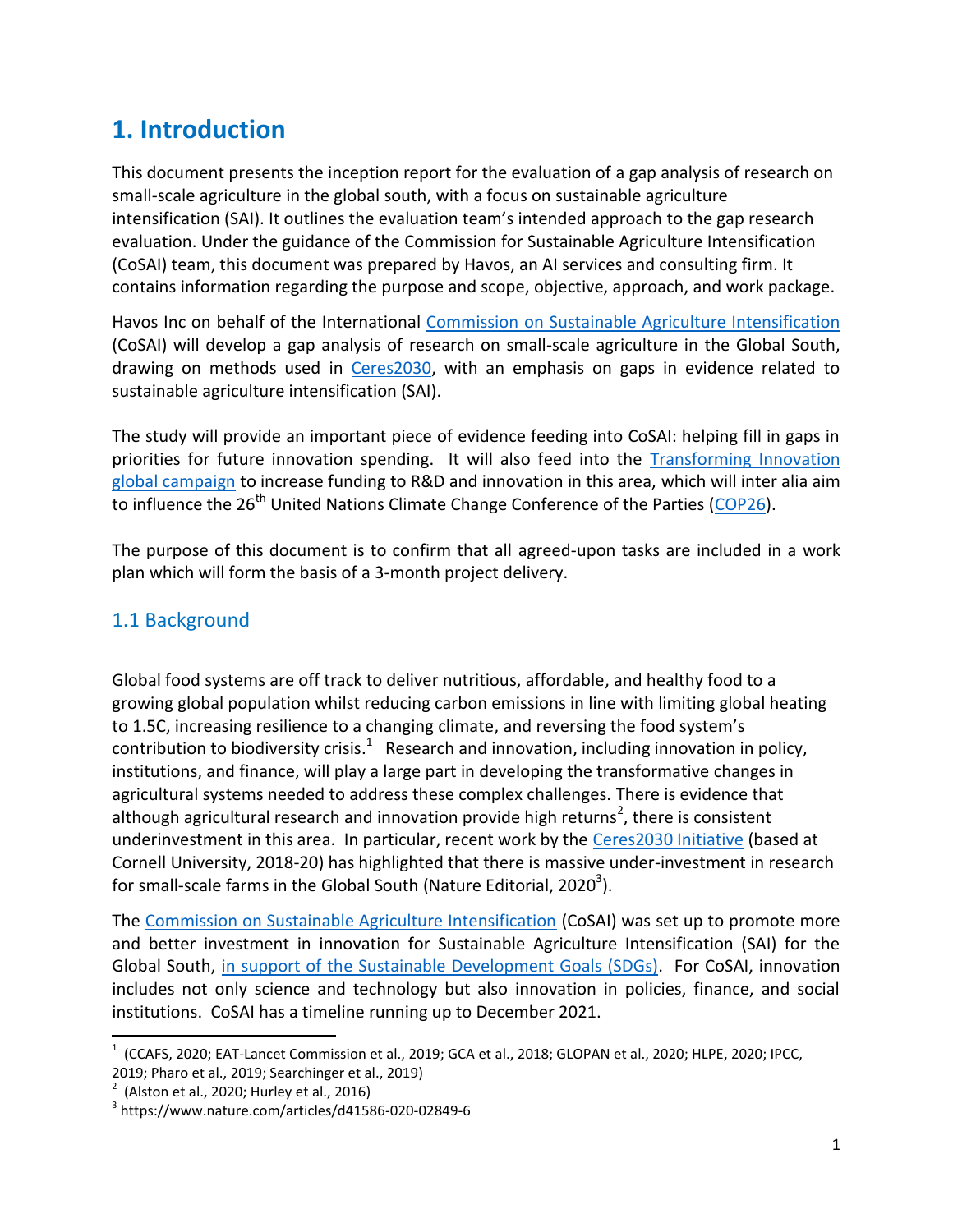# **1. Introduction**

This document presents the inception report for the evaluation of a gap analysis of research on small-scale agriculture in the global south, with a focus on sustainable agriculture intensification (SAI). It outlines the evaluation team's intended approach to the gap research evaluation. Under the guidance of the Commission for Sustainable Agriculture Intensification (CoSAI) team, this document was prepared by Havos, an AI services and consulting firm. It contains information regarding the purpose and scope, objective, approach, and work package.

Havos Inc on behalf of the International [Commission on Sustainable Agriculture Intensification](https://wle.cgiar.org/cosai/) (CoSAI) will develop a gap analysis of research on small-scale agriculture in the Global South, drawing on methods used in [Ceres2030,](http://ceres2030.org/) with an emphasis on gaps in evidence related to sustainable agriculture intensification (SAI).

The study will provide an important piece of evidence feeding into CoSAI: helping fill in gaps in priorities for future innovation spending. It will also feed into the **Transforming Innovation** [global campaign](https://ccafs.cgiar.org/news/Transforming-Agricultural-Innovation-Climate-Nature-People) to increase funding to R&D and innovation in this area, which will inter alia aim to influence the 26<sup>th</sup> United Nations Climate Change Conference of the Parties (COP26).

The purpose of this document is to confirm that all agreed-upon tasks are included in a work plan which will form the basis of a 3-month project delivery.

### 1.1 Background

Global food systems are off track to deliver nutritious, affordable, and healthy food to a growing global population whilst reducing carbon emissions in line with limiting global heating to 1.5C, increasing resilience to a changing climate, and reversing the food system's contribution to biodiversity crisis.<sup>1</sup> Research and innovation, including innovation in policy, institutions, and finance, will play a large part in developing the transformative changes in agricultural systems needed to address these complex challenges. There is evidence that although agricultural research and innovation provide high returns<sup>2</sup>, there is consistent underinvestment in this area. In particular, recent work by the [Ceres2030 Initiative](http://ceres2030.org/) (based at Cornell University, 2018-20) has highlighted that there is massive under-investment in research for small-scale farms in the Global South (Nature Editorial, 2020<sup>3</sup>).

The [Commission on Sustainable Agriculture Intensification](https://wle.cgiar.org/cosai/) (CoSAI) was set up to promote more and better investment in innovation for Sustainable Agriculture Intensification (SAI) for the Global South, in support of the Sustainable Development Goals (SDGs). For CoSAI, innovation includes not only science and technology but also innovation in policies, finance, and social institutions. CoSAI has a timeline running up to December 2021.

 $\overline{a}$ 

 $^1$  (CCAFS, 2020; EAT-Lancet Commission et al., 2019; GCA et al., 2018; GLOPAN et al., 2020; HLPE, 2020; IPCC, 2019; Pharo et al., 2019; Searchinger et al., 2019)

 $2^{2}$  (Alston et al., 2020; Hurley et al., 2016)

<sup>3</sup> https://www.nature.com/articles/d41586-020-02849-6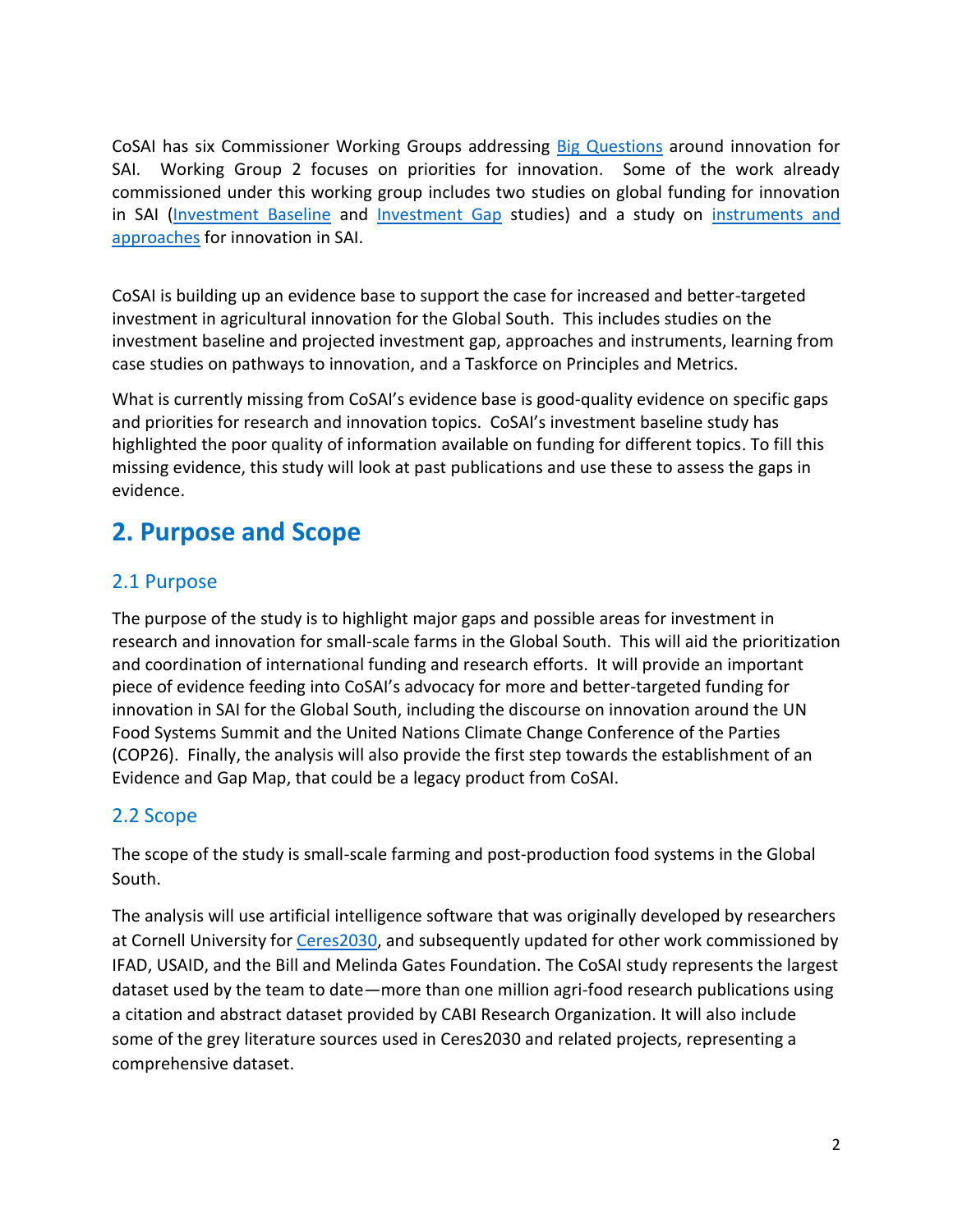CoSAI has six Commissioner Working Groups addressing [Big Questions](https://wle.cgiar.org/cosai/cosai-big-questions) around innovation for SAI. Working Group 2 focuses on priorities for innovation. Some of the work already commissioned under this working group includes two studies on global funding for innovation in SAI [\(Investment Baseline](https://wle.cgiar.org/cosai/innovation-investment-study) and [Investment Gap](https://wle.cgiar.org/cosai/investment-gap) studies) and a study on [instruments and](https://wle.cgiar.org/cosai/approaches-and-instruments)  [approaches](https://wle.cgiar.org/cosai/approaches-and-instruments) for innovation in SAI.

CoSAI is building up an evidence base to support the case for increased and better-targeted investment in agricultural innovation for the Global South. This includes studies on the investment baseline and projected investment gap, approaches and instruments, learning from case studies on pathways to innovation, and a Taskforce on Principles and Metrics.

What is currently missing from CoSAI's evidence base is good-quality evidence on specific gaps and priorities for research and innovation topics. CoSAI's investment baseline study has highlighted the poor quality of information available on funding for different topics. To fill this missing evidence, this study will look at past publications and use these to assess the gaps in evidence.

# **2. Purpose and Scope**

## 2.1 Purpose

The purpose of the study is to highlight major gaps and possible areas for investment in research and innovation for small-scale farms in the Global South. This will aid the prioritization and coordination of international funding and research efforts. It will provide an important piece of evidence feeding into CoSAI's advocacy for more and better-targeted funding for innovation in SAI for the Global South, including the discourse on innovation around the UN Food Systems Summit and the United Nations Climate Change Conference of the Parties (COP26). Finally, the analysis will also provide the first step towards the establishment of an Evidence and Gap Map, that could be a legacy product from CoSAI.

## 2.2 Scope

The scope of the study is small-scale farming and post-production food systems in the Global South.

The analysis will use artificial intelligence software that was originally developed by researchers at Cornell University fo[r Ceres2030,](http://www.ceres2030.org/) and subsequently updated for other work commissioned by IFAD, USAID, and the Bill and Melinda Gates Foundation. The CoSAI study represents the largest dataset used by the team to date—more than one million agri-food research publications using a citation and abstract dataset provided by CABI Research Organization. It will also include some of the grey literature sources used in Ceres2030 and related projects, representing a comprehensive dataset.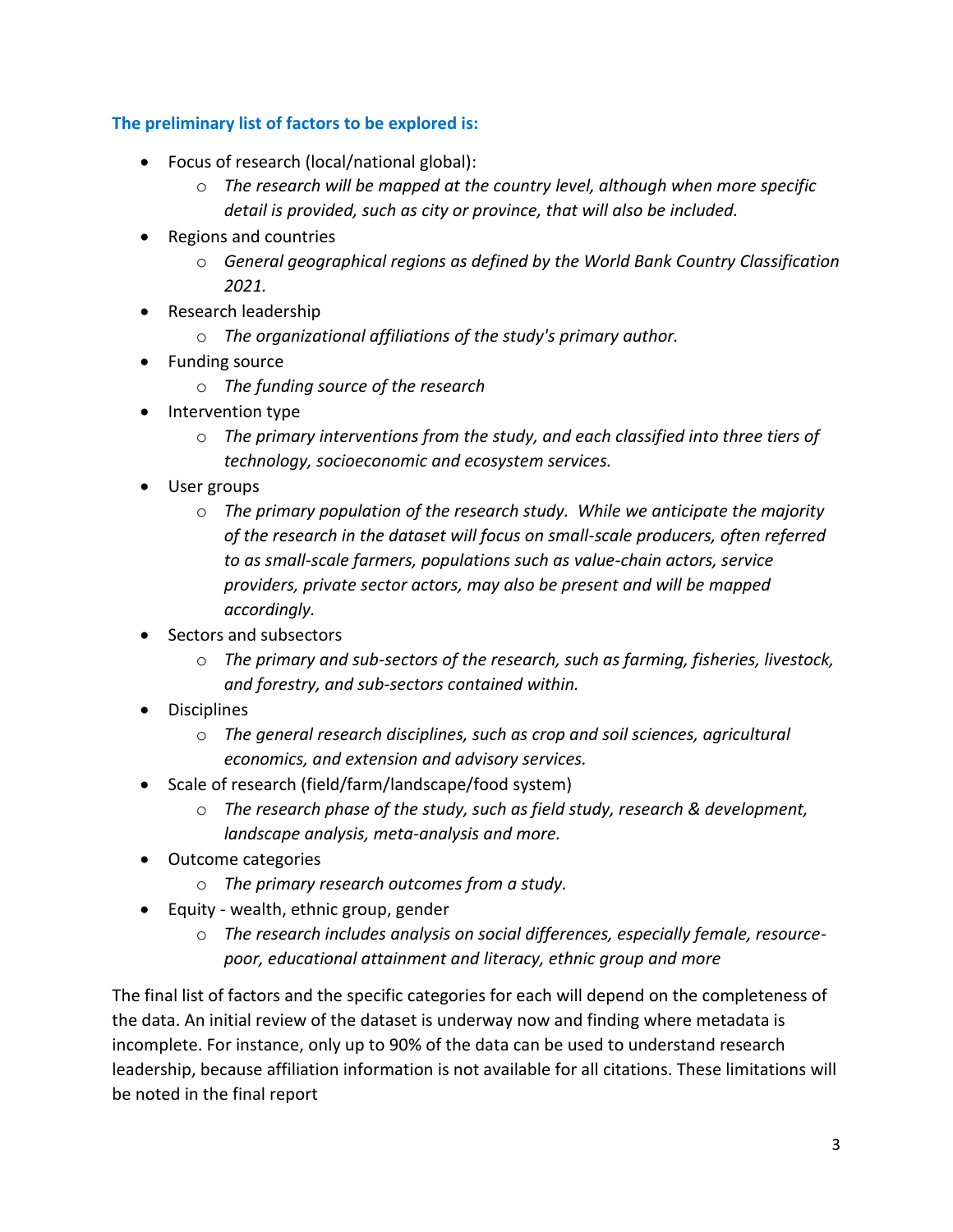#### **The preliminary list of factors to be explored is:**

- Focus of research (local/national global):
	- o *The research will be mapped at the country level, although when more specific detail is provided, such as city or province, that will also be included.*
- Regions and countries
	- o *General geographical regions as defined by the World Bank Country Classification 2021.*
- Research leadership
	- o *The organizational affiliations of the study's primary author.*
- Funding source
	- o *The funding source of the research*
- Intervention type
	- o *The primary interventions from the study, and each classified into three tiers of technology, socioeconomic and ecosystem services.*
- User groups
	- o *The primary population of the research study. While we anticipate the majority of the research in the dataset will focus on small-scale producers, often referred to as small-scale farmers, populations such as value-chain actors, service providers, private sector actors, may also be present and will be mapped accordingly.*
- Sectors and subsectors
	- o *The primary and sub-sectors of the research, such as farming, fisheries, livestock, and forestry, and sub-sectors contained within.*
- Disciplines
	- o *The general research disciplines, such as crop and soil sciences, agricultural economics, and extension and advisory services.*
- Scale of research (field/farm/landscape/food system)
	- o *The research phase of the study, such as field study, research & development, landscape analysis, meta-analysis and more.*
- Outcome categories
	- o *The primary research outcomes from a study.*
- Equity wealth, ethnic group, gender
	- o *The research includes analysis on social differences, especially female, resourcepoor, educational attainment and literacy, ethnic group and more*

The final list of factors and the specific categories for each will depend on the completeness of the data. An initial review of the dataset is underway now and finding where metadata is incomplete. For instance, only up to 90% of the data can be used to understand research leadership, because affiliation information is not available for all citations. These limitations will be noted in the final report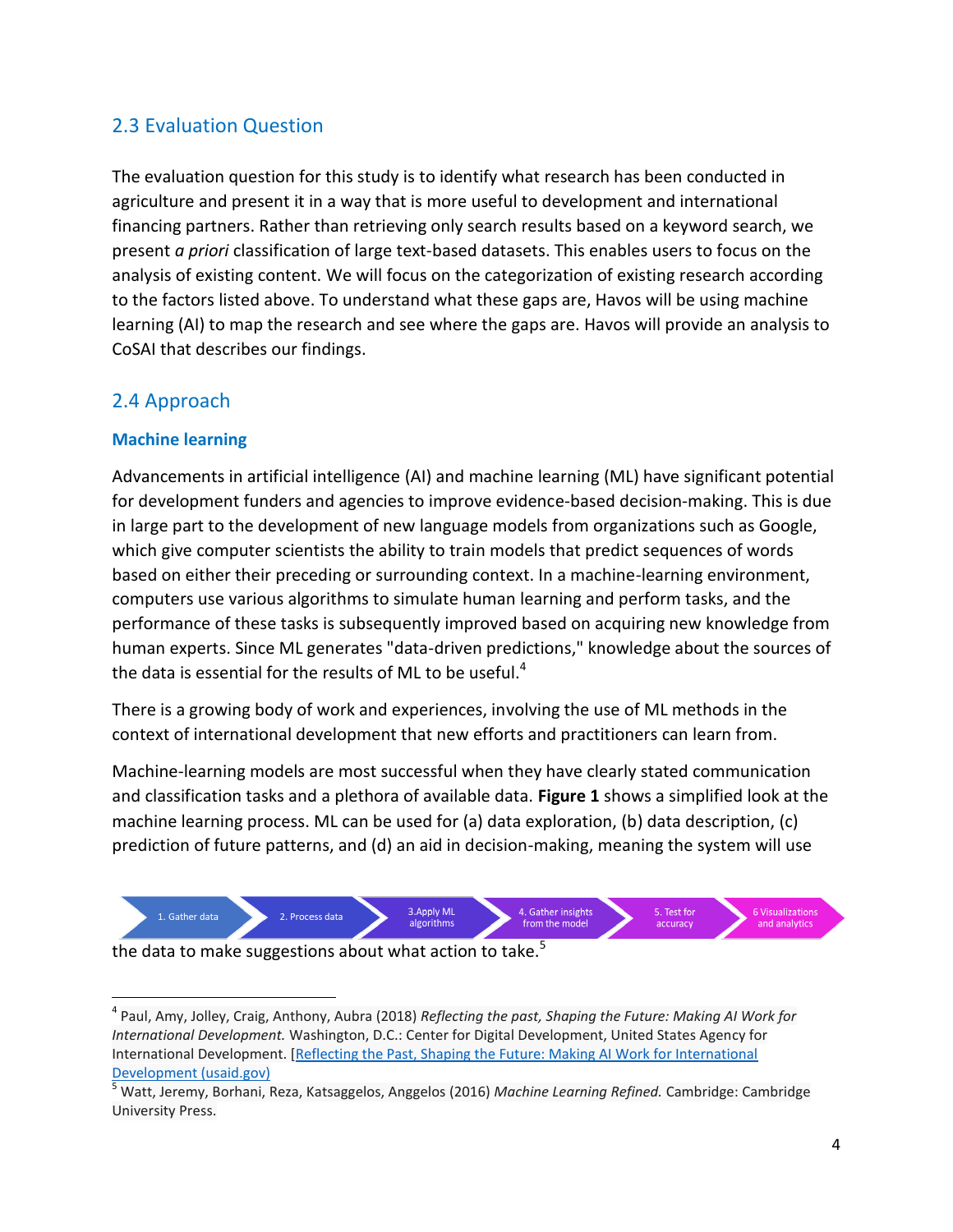## 2.3 Evaluation Question

The evaluation question for this study is to identify what research has been conducted in agriculture and present it in a way that is more useful to development and international financing partners. Rather than retrieving only search results based on a keyword search, we present *a priori* classification of large text-based datasets. This enables users to focus on the analysis of existing content. We will focus on the categorization of existing research according to the factors listed above. To understand what these gaps are, Havos will be using machine learning (AI) to map the research and see where the gaps are. Havos will provide an analysis to CoSAI that describes our findings.

### 2.4 Approach

#### **Machine learning**

 $\overline{a}$ 

Advancements in artificial intelligence (AI) and machine learning (ML) have significant potential for development funders and agencies to improve evidence-based decision-making. This is due in large part to the development of new language models from organizations such as Google, which give computer scientists the ability to train models that predict sequences of words based on either their preceding or surrounding context. In a machine-learning environment, computers use various algorithms to simulate human learning and perform tasks, and the performance of these tasks is subsequently improved based on acquiring new knowledge from human experts. Since ML generates "data-driven predictions," knowledge about the sources of the data is essential for the results of ML to be useful. $4$ 

There is a growing body of work and experiences, involving the use of ML methods in the context of international development that new efforts and practitioners can learn from.

Machine-learning models are most successful when they have clearly stated communication and classification tasks and a plethora of available data. **Figure 1** shows a simplified look at the machine learning process. ML can be used for (a) data exploration, (b) data description, (c) prediction of future patterns, and (d) an aid in decision-making, meaning the system will use



the data to make suggestions about what action to take. $5$ 

<sup>4</sup> Paul, Amy, Jolley, Craig, Anthony, Aubra (2018) *Reflecting the past, Shaping the Future: Making AI Work for International Development.* Washington, D.C.: Center for Digital Development, United States Agency for International Development. [\[Reflecting the Past, Shaping the Future: Making AI Work for International](https://urldefense.com/v3/__https:/www.usaid.gov/sites/default/files/documents/15396/AI-ML-in-Development.pdf__;!!IKRxdwAv5BmarQ!IdYqMjhrqTMB1R4z1Cx3GrI8d4MFiKpmGMY_nFu_LCBz9CY-AIcT2BLhaU-uUCT_$)  [Development \(](https://urldefense.com/v3/__https:/www.usaid.gov/sites/default/files/documents/15396/AI-ML-in-Development.pdf__;!!IKRxdwAv5BmarQ!IdYqMjhrqTMB1R4z1Cx3GrI8d4MFiKpmGMY_nFu_LCBz9CY-AIcT2BLhaU-uUCT_$)[usaid.gov\)](http://usaid.gov/)

<sup>5</sup> Watt, Jeremy, Borhani, Reza, Katsaggelos, Anggelos (2016) *Machine Learning Refined.* Cambridge: Cambridge University Press.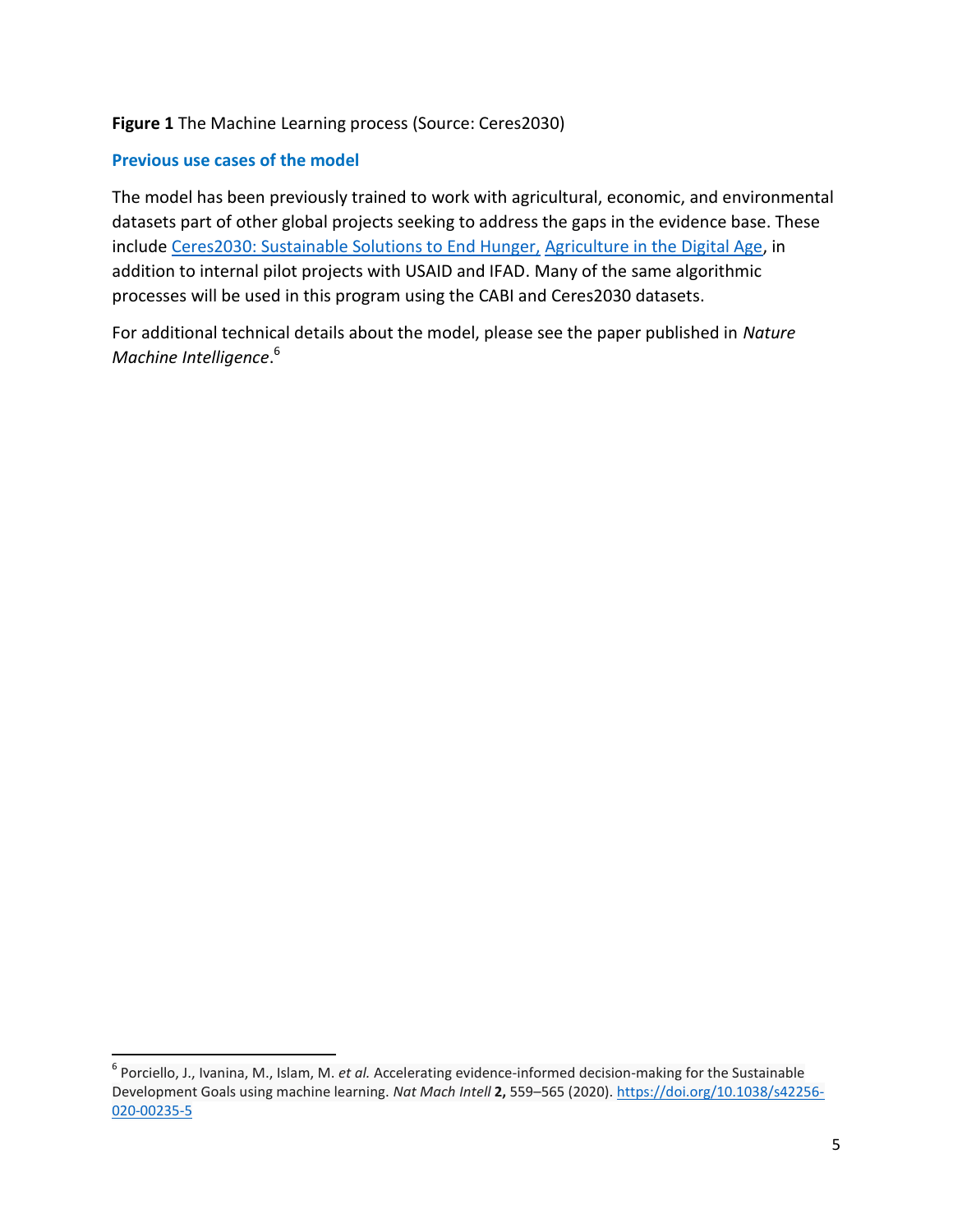#### **Figure 1** The Machine Learning process (Source: Ceres2030)

#### **Previous use cases of the model**

 $\overline{\phantom{a}}$ 

The model has been previously trained to work with agricultural, economic, and environmental datasets part of other global projects seeking to address the gaps in the evidence base. These include [Ceres2030: Sustainable Solutions to End Hunger,](http://ceres2030.org/) [Agriculture in the Digital Age,](http://agricultureinthedigitalage.com/) in addition to internal pilot projects with USAID and IFAD. Many of the same algorithmic processes will be used in this program using the CABI and Ceres2030 datasets.

For additional technical details about the model, please see the paper published in *Nature Machine Intelligence*. 6

<sup>6</sup> Porciello, J., Ivanina, M., Islam, M. *et al.* Accelerating evidence-informed decision-making for the Sustainable Development Goals using machine learning. *Nat Mach Intell* **2,** 559–565 (2020). [https://doi.org/10.1038/s42256-](https://doi.org/10.1038/s42256-020-00235-5) [020-00235-5](https://doi.org/10.1038/s42256-020-00235-5)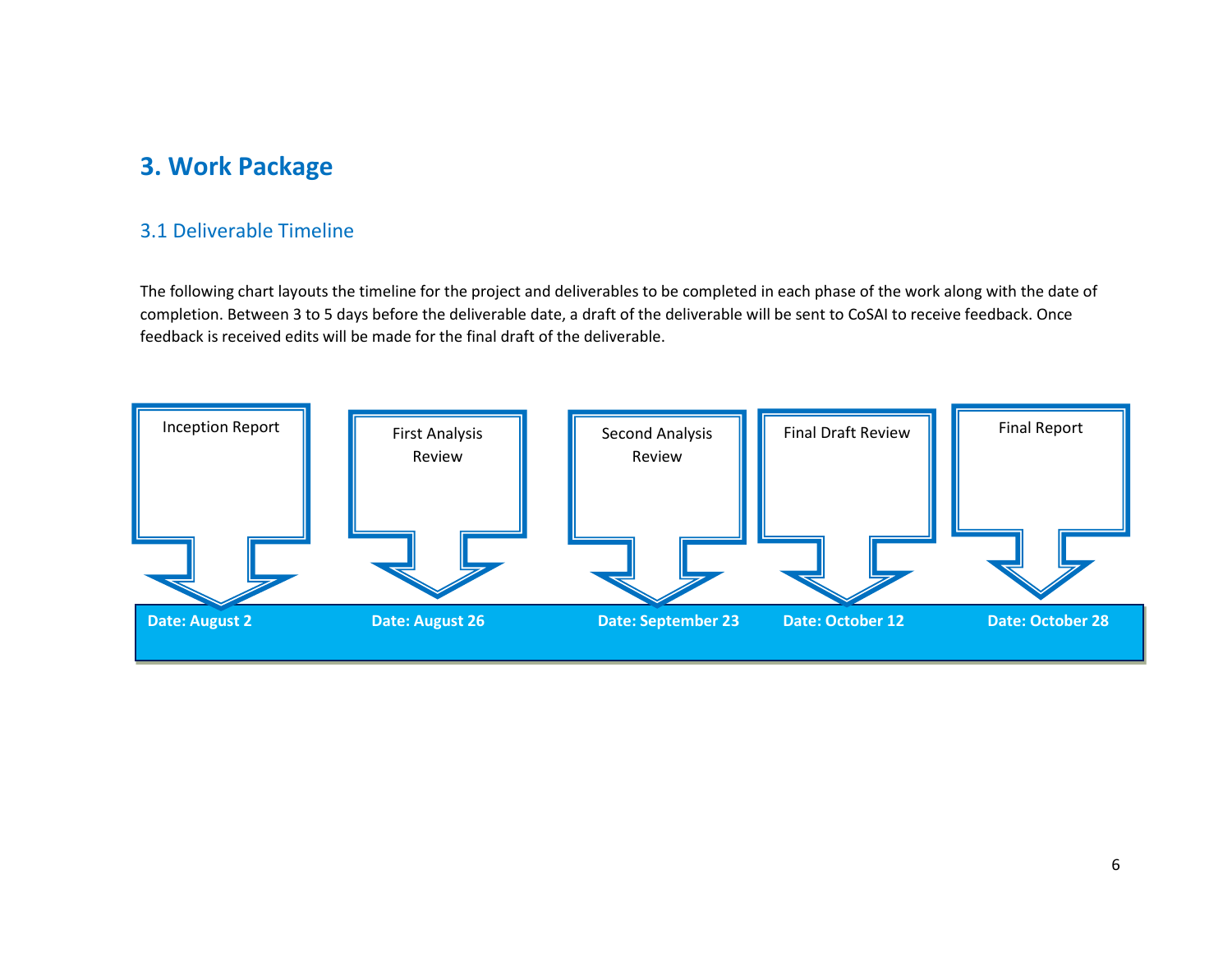## **3. Work Package**

#### 3.1 Deliverable Timeline

The following chart layouts the timeline for the project and deliverables to be completed in each phase of the work along with the date of completion. Between 3 to 5 days before the deliverable date, a draft of the deliverable will be sent to CoSAI to receive feedback. Once feedback is received edits will be made for the final draft of the deliverable.

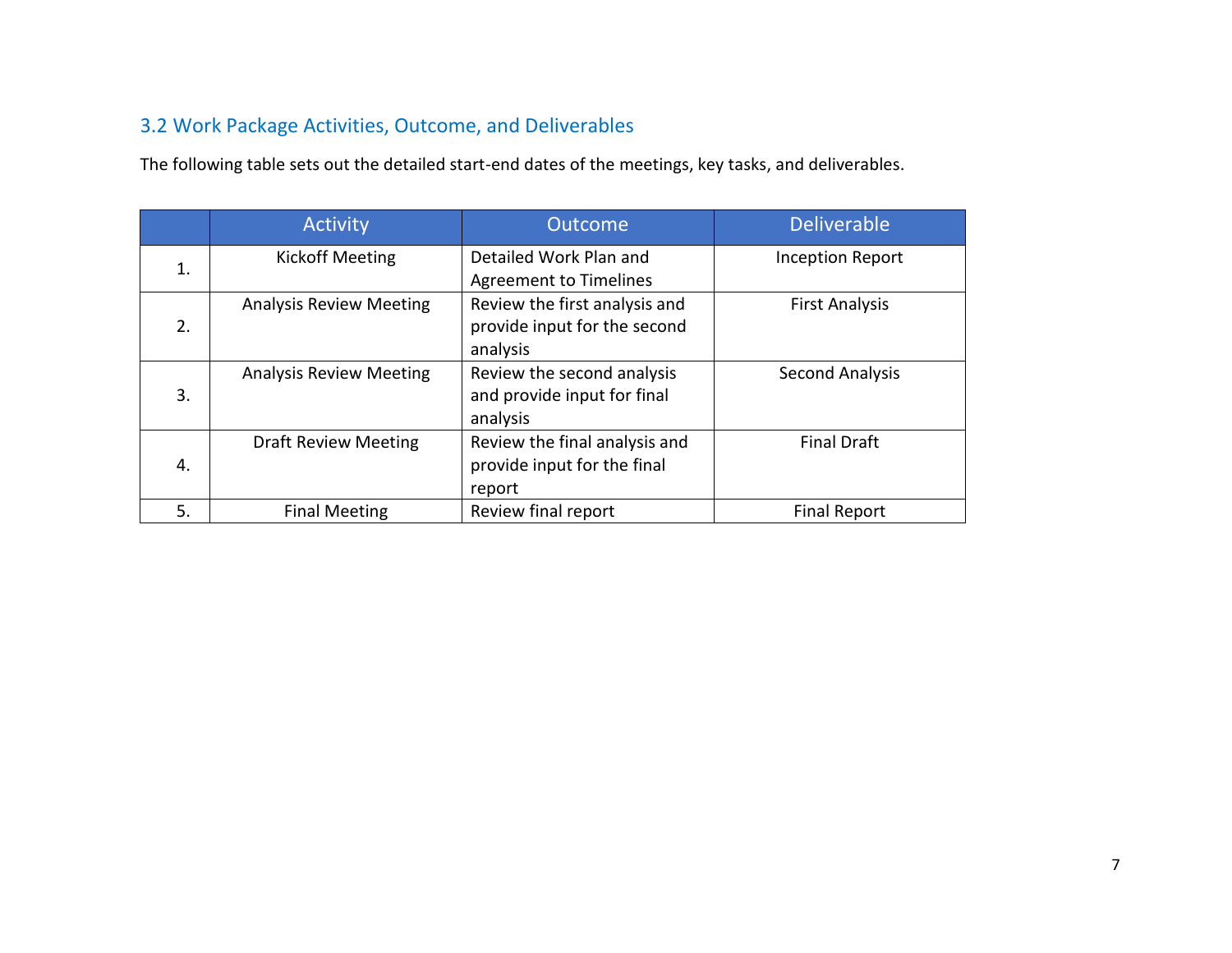## 3.2 Work Package Activities, Outcome, and Deliverables

The following table sets out the detailed start-end dates of the meetings, key tasks, and deliverables.

|    | <b>Activity</b>                | <b>Outcome</b>                                                            | <b>Deliverable</b>      |
|----|--------------------------------|---------------------------------------------------------------------------|-------------------------|
| 1. | <b>Kickoff Meeting</b>         | Detailed Work Plan and<br><b>Agreement to Timelines</b>                   | <b>Inception Report</b> |
| 2. | <b>Analysis Review Meeting</b> | Review the first analysis and<br>provide input for the second<br>analysis | <b>First Analysis</b>   |
| 3. | <b>Analysis Review Meeting</b> | Review the second analysis<br>and provide input for final<br>analysis     | <b>Second Analysis</b>  |
| 4. | <b>Draft Review Meeting</b>    | Review the final analysis and<br>provide input for the final<br>report    | <b>Final Draft</b>      |
| 5. | <b>Final Meeting</b>           | Review final report                                                       | <b>Final Report</b>     |